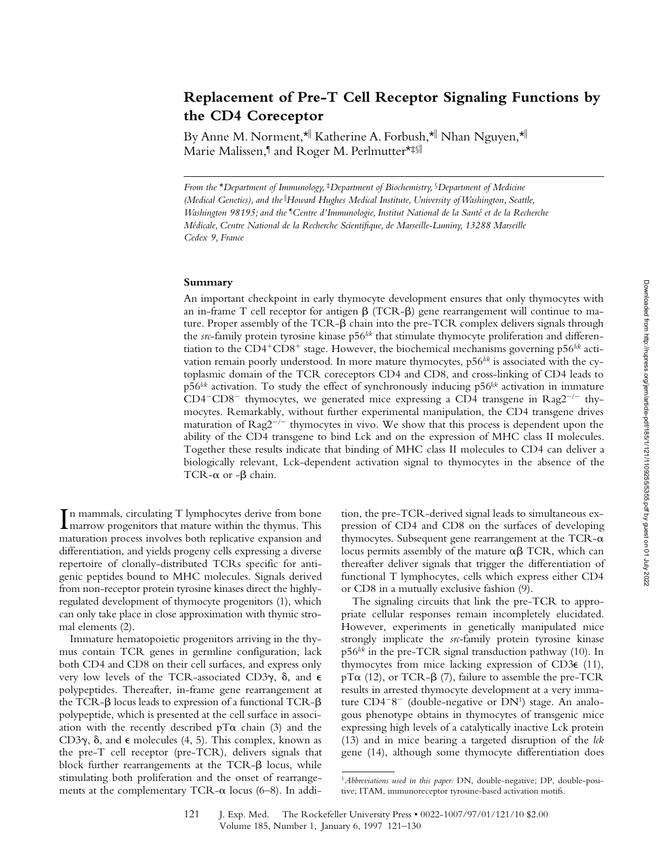# **Replacement of Pre-T Cell Receptor Signaling Functions by the CD4 Coreceptor**

By Anne M. Norment,\*|| Katherine A. Forbush,\*|| Nhan Nguyen,\*|| Marie Malissen,¶ and Roger M. Perlmutter\*‡§||

*From the* \**Department of Immunology,* ‡*Department of Biochemistry,* §*Department of Medicine (Medical Genetics), and the* <sup>i</sup> *Howard Hughes Medical Institute, University of Washington, Seattle, Washington 98195; and the* ¶ *Centre d'Immunologie, Institut National de la Santé et de la Recherche Médicale, Centre National de la Recherche Scientifique, de Marseille-Luminy, 13288 Marseille Cedex 9, France*

### **Summary**

An important checkpoint in early thymocyte development ensures that only thymocytes with an in-frame T cell receptor for antigen  $\beta$  (TCR- $\beta$ ) gene rearrangement will continue to mature. Proper assembly of the  $TCR - \beta$  chain into the pre-TCR complex delivers signals through the *src*-family protein tyrosine kinase p56<sup>*lck*</sup> that stimulate thymocyte proliferation and differentiation to the  $CD4+CD8+$  stage. However, the biochemical mechanisms governing p56<sup> $1/2$ </sup> activation remain poorly understood. In more mature thymocytes, p56<sup>kk</sup> is associated with the cytoplasmic domain of the TCR coreceptors CD4 and CD8, and cross-linking of CD4 leads to p56*lck* activation. To study the effect of synchronously inducing p56*lck* activation in immature  $CD4$ <sup>-</sup>CD8<sup>-</sup> thymocytes, we generated mice expressing a CD4 transgene in Rag2<sup>-/-</sup> thymocytes. Remarkably, without further experimental manipulation, the CD4 transgene drives maturation of  $\text{Rag2}^{-/-}$  thymocytes in vivo. We show that this process is dependent upon the ability of the CD4 transgene to bind Lck and on the expression of MHC class II molecules. Together these results indicate that binding of MHC class II molecules to CD4 can deliver a biologically relevant, Lck-dependent activation signal to thymocytes in the absence of the TCR- $\alpha$  or - $\beta$  chain.

In mammals, circulating T lymphocytes derive from bone<br>Imarrow progenitors that mature within the thymus. This n mammals, circulating T lymphocytes derive from bone maturation process involves both replicative expansion and differentiation, and yields progeny cells expressing a diverse repertoire of clonally-distributed TCRs specific for antigenic peptides bound to MHC molecules. Signals derived from non-receptor protein tyrosine kinases direct the highlyregulated development of thymocyte progenitors (1), which can only take place in close approximation with thymic stromal elements (2).

Immature hematopoietic progenitors arriving in the thymus contain TCR genes in germline configuration, lack both CD4 and CD8 on their cell surfaces, and express only very low levels of the TCR-associated CD3 $\gamma$ ,  $\delta$ , and  $\epsilon$ polypeptides. Thereafter, in-frame gene rearrangement at the TCR- $\beta$  locus leads to expression of a functional TCR- $\beta$ polypeptide, which is presented at the cell surface in association with the recently described  $pT\alpha$  chain (3) and the CD3 $\gamma$ ,  $\delta$ , and  $\epsilon$  molecules (4, 5). This complex, known as the pre-T cell receptor (pre-TCR), delivers signals that block further rearrangements at the  $TCR-\beta$  locus, while stimulating both proliferation and the onset of rearrangements at the complementary TCR- $\alpha$  locus (6–8). In addition, the pre-TCR-derived signal leads to simultaneous expression of CD4 and CD8 on the surfaces of developing thymocytes. Subsequent gene rearrangement at the TCR- $\alpha$ locus permits assembly of the mature  $\alpha\beta$  TCR, which can thereafter deliver signals that trigger the differentiation of functional T lymphocytes, cells which express either CD4 or CD8 in a mutually exclusive fashion (9).

The signaling circuits that link the pre-TCR to appropriate cellular responses remain incompletely elucidated. However, experiments in genetically manipulated mice strongly implicate the *src-*family protein tyrosine kinase p56*lck* in the pre-TCR signal transduction pathway (10). In thymocytes from mice lacking expression of  $CD3\varepsilon$  (11),  $pT\alpha$  (12), or TCR- $\beta$  (7), failure to assemble the pre-TCR results in arrested thymocyte development at a very immature  $CD4^{-}8^-$  (double-negative or  $DN<sup>1</sup>$ ) stage. An analogous phenotype obtains in thymocytes of transgenic mice expressing high levels of a catalytically inactive Lck protein (13) and in mice bearing a targeted disruption of the *lck* gene (14), although some thymocyte differentiation does

<sup>1</sup>*Abbreviations used in this paper:* DN, double-negative; DP, double-positive; ITAM, immunoreceptor tyrosine-based activation motifs.

<sup>121</sup> J. Exp. Med. The Rockefeller University Press • 0022-1007/97/01/121/10 \$2.00 Volume 185, Number 1, January 6, 1997 121–130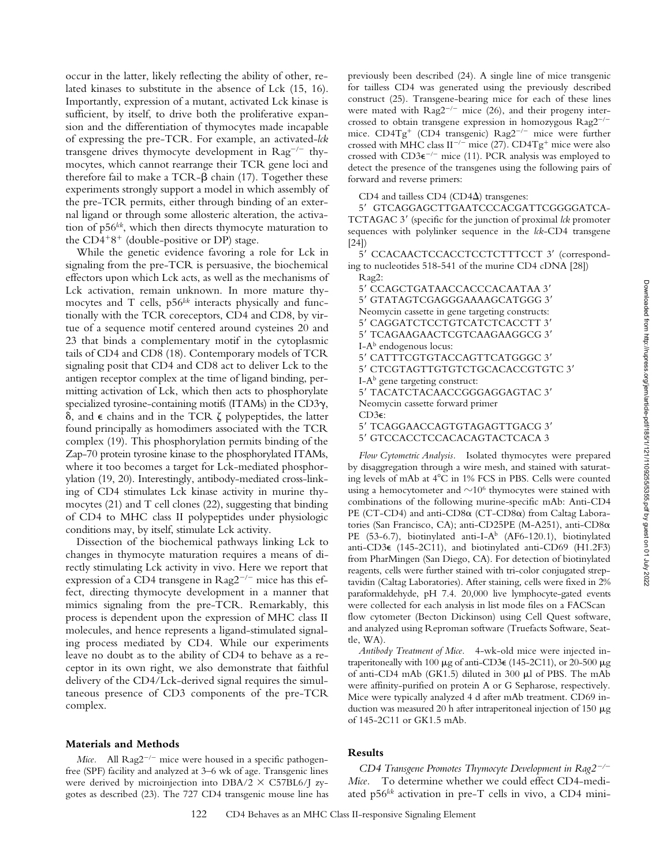occur in the latter, likely reflecting the ability of other, related kinases to substitute in the absence of Lck (15, 16). Importantly, expression of a mutant, activated Lck kinase is sufficient, by itself, to drive both the proliferative expansion and the differentiation of thymocytes made incapable of expressing the pre-TCR. For example, an activated-*lck* transgene drives thymocyte development in  $\text{Rag}^{-/-}$  thymocytes, which cannot rearrange their TCR gene loci and therefore fail to make a TCR- $\beta$  chain (17). Together these experiments strongly support a model in which assembly of the pre-TCR permits, either through binding of an external ligand or through some allosteric alteration, the activation of p56*lck*, which then directs thymocyte maturation to the  $CD4+8+$  (double-positive or DP) stage. While the genetic evidence favoring a role for Lck in

signaling from the pre-TCR is persuasive, the biochemical effectors upon which Lck acts, as well as the mechanisms of Lck activation, remain unknown. In more mature thymocytes and T cells, p56<sup>lck</sup> interacts physically and functionally with the TCR coreceptors, CD4 and CD8, by virtue of a sequence motif centered around cysteines 20 and 23 that binds a complementary motif in the cytoplasmic tails of CD4 and CD8 (18). Contemporary models of TCR signaling posit that CD4 and CD8 act to deliver Lck to the antigen receptor complex at the time of ligand binding, permitting activation of Lck, which then acts to phosphorylate specialized tyrosine-containing motifs (ITAMs) in the  $CD3\gamma$ ,  $\delta$ , and  $\epsilon$  chains and in the TCR  $\zeta$  polypeptides, the latter found principally as homodimers associated with the TCR complex (19). This phosphorylation permits binding of the Zap-70 protein tyrosine kinase to the phosphorylated ITAMs, where it too becomes a target for Lck-mediated phosphorylation (19, 20). Interestingly, antibody-mediated cross-linking of CD4 stimulates Lck kinase activity in murine thymocytes (21) and T cell clones (22), suggesting that binding of CD4 to MHC class II polypeptides under physiologic conditions may, by itself, stimulate Lck activity.

Dissection of the biochemical pathways linking Lck to changes in thymocyte maturation requires a means of directly stimulating Lck activity in vivo. Here we report that expression of a CD4 transgene in  $Rag2^{-/-}$  mice has this effect, directing thymocyte development in a manner that mimics signaling from the pre-TCR. Remarkably, this process is dependent upon the expression of MHC class II molecules, and hence represents a ligand-stimulated signaling process mediated by CD4. While our experiments leave no doubt as to the ability of CD4 to behave as a receptor in its own right, we also demonstrate that faithful delivery of the CD4/Lck-derived signal requires the simultaneous presence of CD3 components of the pre-TCR complex.

## **Materials and Methods**

*Mice.* All  $\text{Rag2}^{-/-}$  mice were housed in a specific pathogenfree (SPF) facility and analyzed at 3–6 wk of age. Transgenic lines were derived by microinjection into  $DBA/2 \times C57BL6/J$  zygotes as described (23). The 727 CD4 transgenic mouse line has

previously been described (24). A single line of mice transgenic for tailless CD4 was generated using the previously described construct (25). Transgene-bearing mice for each of these lines were mated with  $\text{Rag2}^{-/-}$  mice (26), and their progeny intercrossed to obtain transgene expression in homozygous  $\text{Rag2}^{-/-}$ mice. CD4Tg<sup>+</sup> (CD4 transgenic) Rag2<sup>-/-</sup> mice were further crossed with MHC class II<sup>-/-</sup> mice (27). CD4Tg<sup>+</sup> mice were also crossed with  $CD3\varepsilon^{-/-}$  mice (11). PCR analysis was employed to detect the presence of the transgenes using the following pairs of forward and reverse primers:

CD4 and tailless CD4 (CD4 $\Delta$ ) transgenes:

5' GTCAGGAGCTTGAATCCCACGATTCGGGGATCA-TCTAGAC 3' (specific for the junction of proximal *lck* promoter sequences with polylinker sequence in the *lck*-CD4 transgene [24])

5' CCACAACTCCACCTCCTCTTTCCT 3' (corresponding to nucleotides 518-541 of the murine CD4 cDNA [28]) Rag2:

5' CCAGCTGATAACCACCCACAATAA 3' 5' GTATAGTCGAGGGAAAAGCATGGG 3' Neomycin cassette in gene targeting constructs: 5' CAGGATCTCCTGTCATCTCACCTT 3' 5' TCAGAAGAACTCGTCAAGAAGGCG 3'  $I-A^b$  endogenous locus: 5' CATTTCGTGTACCAGTTCATGGGC 3' 5' CTCGTAGTTGTGTCTGCACACCGTGTC 3'  $I-A<sup>b</sup>$  gene targeting construct: 5' TACATCTACAACCGGGAGGAGTAC 3' Neomycin cassette forward primer CD3e: 5' TCAGGAACCAGTGTAGAGTTGACG 3'

5' GTCCACCTCCACACAGTACTCACA 3

*Flow Cytometric Analysis.* Isolated thymocytes were prepared by disaggregation through a wire mesh, and stained with saturating levels of mAb at  $4^{\circ}$ C in 1% FCS in PBS. Cells were counted using a hemocytometer and  $\sim 10^6$  thymocytes were stained with combinations of the following murine-specific mAb: Anti-CD4 PE (CT-CD4) and anti-CD8 $\alpha$  (CT-CD8 $\alpha$ ) from Caltag Laboratories (San Francisco, CA); anti-CD25PE (M-A251), anti-CD8a PE (53-6.7), biotinylated anti-I-A<sup>b</sup> (AF6-120.1), biotinylated anti-CD3e (145-2C11), and biotinylated anti-CD69 (H1.2F3) from PharMingen (San Diego, CA). For detection of biotinylated reagents, cells were further stained with tri-color conjugated streptavidin (Caltag Laboratories). After staining, cells were fixed in 2% paraformaldehyde, pH 7.4. 20,000 live lymphocyte-gated events were collected for each analysis in list mode files on a FACScan<sup>®</sup> flow cytometer (Becton Dickinson) using Cell Quest software, and analyzed using Reproman software (Truefacts Software, Seattle, WA).

*Antibody Treatment of Mice.* 4-wk-old mice were injected intraperitoneally with 100  $\mu$ g of anti-CD3 $\epsilon$  (145-2C11), or 20-500  $\mu$ g of anti-CD4 mAb (GK1.5) diluted in 300 ml of PBS. The mAb were affinity-purified on protein A or G Sepharose, respectively. Mice were typically analyzed 4 d after mAb treatment. CD69 induction was measured 20 h after intraperitoneal injection of 150  $\mu$ g of 145-2C11 or GK1.5 mAb.

## **Results**

*CD4 Transgene Promotes Thymocyte Development in Rag2<sup>-/-</sup> Mice.* To determine whether we could effect CD4-mediated p56<sup>lck</sup> activation in pre-T cells in vivo, a CD4 mini-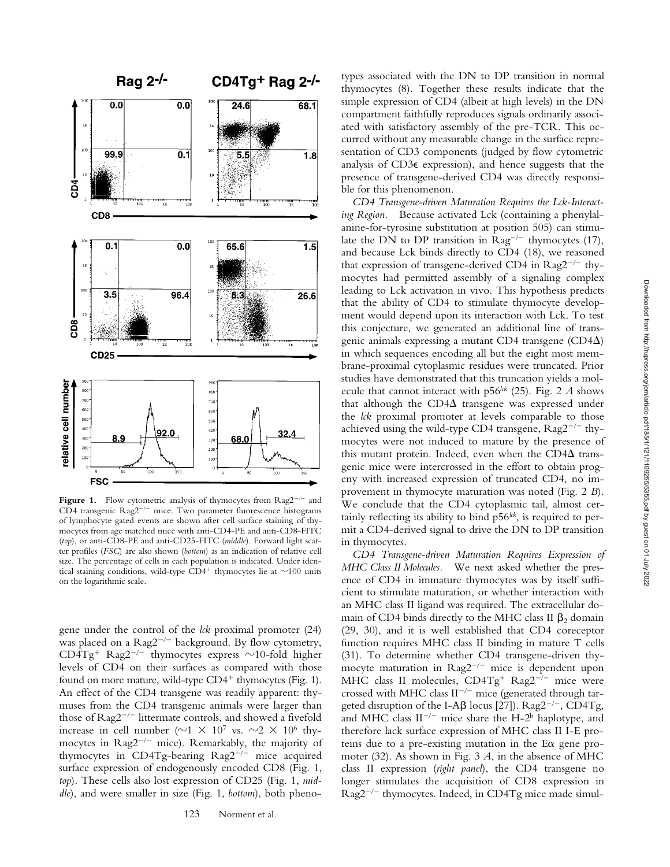

**Figure 1.** Flow cytometric analysis of thymocytes from  $\text{Rag2}^{-/-}$  and CD4 transgenic  $\text{Rag2}^{-/-}$  mice. Two parameter fluorescence histograms of lymphocyte gated events are shown after cell surface staining of thymocytes from age matched mice with anti-CD4-PE and anti-CD8-FITC (*top*), or anti-CD8-PE and anti-CD25-FITC (*middle*). Forward light scatter profiles (*FSC*) are also shown (*bottom*) as an indication of relative cell size. The percentage of cells in each population is indicated. Under identical staining conditions, wild-type  $CD4^+$  thymocytes lie at  $\sim$ 100 units on the logarithmic scale.

gene under the control of the *lck* proximal promoter (24) was placed on a  $Rag2^{-/-}$  background. By flow cytometry, CD4Tg<sup>+</sup> Rag2<sup>-/-</sup> thymocytes express  $\sim$ 10-fold higher levels of CD4 on their surfaces as compared with those found on more mature, wild-type  $CD4^+$  thymocytes (Fig. 1). An effect of the CD4 transgene was readily apparent: thymuses from the CD4 transgenic animals were larger than those of  $Rag2^{-/-}$  littermate controls, and showed a fivefold increase in cell number ( $\sim$ 1  $\times$  10<sup>7</sup> vs.  $\sim$ 2  $\times$  10<sup>6</sup> thymocytes in  $\text{Rag2}^{-/-}$  mice). Remarkably, the majority of thymocytes in CD4Tg-bearing  $\text{Rag2}^{-/-}$  mice acquired surface expression of endogenously encoded CD8 (Fig. 1, *top*). These cells also lost expression of CD25 (Fig. 1, *middle*), and were smaller in size (Fig. 1, *bottom*), both phenotypes associated with the DN to DP transition in normal thymocytes (8). Together these results indicate that the simple expression of CD4 (albeit at high levels) in the DN compartment faithfully reproduces signals ordinarily associated with satisfactory assembly of the pre-TCR. This occurred without any measurable change in the surface representation of CD3 components (judged by flow cytometric analysis of CD3e expression), and hence suggests that the presence of transgene-derived CD4 was directly responsible for this phenomenon.

*CD4 Transgene-driven Maturation Requires the Lck-Interacting Region.* Because activated Lck (containing a phenylalanine-for-tyrosine substitution at position 505) can stimulate the DN to DP transition in  $\text{Rag}^{-/-}$  thymocytes (17), and because Lck binds directly to CD4 (18), we reasoned that expression of transgene-derived CD4 in  $\text{Rag2}^{-/-}$  thymocytes had permitted assembly of a signaling complex leading to Lck activation in vivo. This hypothesis predicts that the ability of CD4 to stimulate thymocyte development would depend upon its interaction with Lck. To test this conjecture, we generated an additional line of transgenic animals expressing a mutant CD4 transgene (CD4 $\Delta$ ) in which sequences encoding all but the eight most membrane-proximal cytoplasmic residues were truncated. Prior studies have demonstrated that this truncation yields a molecule that cannot interact with p56*lck* (25). Fig. 2 *A* shows that although the  $CD4\Delta$  transgene was expressed under the *lck* proximal promoter at levels comparable to those achieved using the wild-type CD4 transgene,  $\text{Rag2}^{-/-}$  thymocytes were not induced to mature by the presence of this mutant protein. Indeed, even when the  $CD4\Delta$  transgenic mice were intercrossed in the effort to obtain progeny with increased expression of truncated CD4, no improvement in thymocyte maturation was noted (Fig. 2 *B*). We conclude that the CD4 cytoplasmic tail, almost certainly reflecting its ability to bind  $p56^{lck}$ , is required to permit a CD4-derived signal to drive the DN to DP transition in thymocytes.

*CD4 Transgene-driven Maturation Requires Expression of MHC Class II Molecules.* We next asked whether the presence of CD4 in immature thymocytes was by itself sufficient to stimulate maturation, or whether interaction with an MHC class II ligand was required. The extracellular domain of CD4 binds directly to the MHC class II  $\beta_2$  domain (29, 30), and it is well established that CD4 coreceptor function requires MHC class II binding in mature T cells (31). To determine whether CD4 transgene-driven thymocyte maturation in  $\text{Rag2}^{-/-}$  mice is dependent upon MHC class II molecules,  $CD4Tg^{+}$  Rag2<sup>- $7-$ </sup> mice were crossed with MHC class  $II^{-/-}$  mice (generated through targeted disruption of the I-A $\beta$  locus [27]). Rag2<sup>-/-</sup>, CD4Tg, and MHC class  $II^{-/-}$  mice share the H-2<sup>b</sup> haplotype, and therefore lack surface expression of MHC class II I-E proteins due to a pre-existing mutation in the E $\alpha$  gene promoter (32). As shown in Fig. 3 *A*, in the absence of MHC class II expression (*right panel*), the CD4 transgene no longer stimulates the acquisition of CD8 expression in  $Rag2^{-/-}$  thymocytes. Indeed, in CD4Tg mice made simul-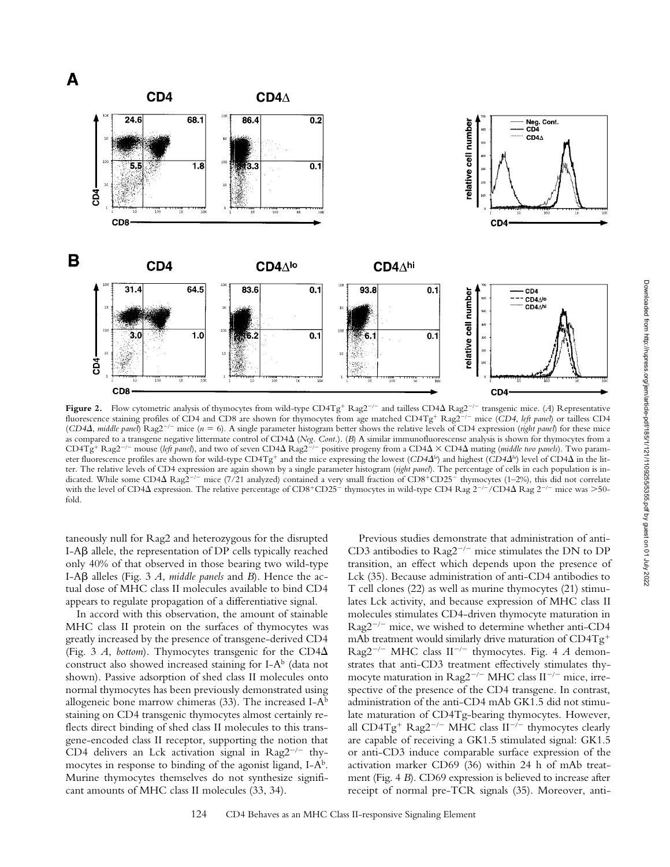

**Figure 2.** Flow cytometric analysis of thymocytes from wild-type CD4Tg<sup>+</sup> Rag2<sup>-/-</sup> and tailless CD4 $\Delta$  Rag2<sup>-/-</sup> transgenic mice. (*A*) Representative fluorescence staining profiles of CD4 and CD8 are shown for thymocytes from age matched CD4Tg<sup>+</sup> Rag2<sup>-/-</sup> mice (*CD4*, *left panel*) or tailless CD4 (*CD4*D, *middle panel*) Rag22/2 mice (*n* 5 6). A single parameter histogram better shows the relative levels of CD4 expression (*right panel*) for these mice as compared to a transgene negative littermate control of CD4D (*Neg. Cont.*). (*B*) A similar immunofluorescense analysis is shown for thymocytes from a  $CD4Tg^+$  Rag2<sup>-/-</sup> mouse (*left panel*), and two of seven  $CD4\Delta$  Rag2<sup>-/-</sup> positive progeny from a  $CD4\Delta \times CD4\Delta$  mating (*middle two panels*). Two parameter fluorescence profiles are shown for wild-type CD4Tg<sup>+</sup> and the mice expressing the lowest (*CD4* $\Delta$ <sup>*lo*</sup>) and highest (*CD4* $\Delta$ <sup>*lo*</sup>) level of CD4 $\Delta$  in the litter. The relative levels of CD4 expression are again shown by a single parameter histogram (*right panel*). The percentage of cells in each population is indicated. While some CD4 $\Delta$  Rag2<sup>-/-</sup> mice (7/21 analyzed) contained a very small fraction of CD8<sup>+</sup>CD25<sup>-</sup> thymocytes (1–2%), this did not correlate with the level of CD4 $\Delta$  expression. The relative percentage of CD8+CD25<sup>-</sup> thymocytes in wild-type CD4 Rag  $2^{-/-}/CD4\Delta$  Rag  $2^{-/-}$  mice was >50fold.

taneously null for Rag2 and heterozygous for the disrupted  $I-A\beta$  allele, the representation of DP cells typically reached only 40% of that observed in those bearing two wild-type I-Ab alleles (Fig. 3 *A*, *middle panels* and *B*). Hence the actual dose of MHC class II molecules available to bind CD4 appears to regulate propagation of a differentiative signal.

In accord with this observation, the amount of stainable MHC class II protein on the surfaces of thymocytes was greatly increased by the presence of transgene-derived CD4 (Fig. 3 *A*, *bottom*). Thymocytes transgenic for the  $CD4\Delta$ construct also showed increased staining for I-A<sup>b</sup> (data not shown). Passive adsorption of shed class II molecules onto normal thymocytes has been previously demonstrated using allogeneic bone marrow chimeras  $(33)$ . The increased I-A<sup>b</sup> staining on CD4 transgenic thymocytes almost certainly reflects direct binding of shed class II molecules to this transgene-encoded class II receptor, supporting the notion that CD4 delivers an Lck activation signal in  $\text{Rag2}^{-/-}$  thymocytes in response to binding of the agonist ligand,  $I-A<sup>b</sup>$ . Murine thymocytes themselves do not synthesize significant amounts of MHC class II molecules (33, 34).

Previous studies demonstrate that administration of anti-CD3 antibodies to  $\text{Rag2}^{-/-}$  mice stimulates the DN to DP transition, an effect which depends upon the presence of Lck (35). Because administration of anti-CD4 antibodies to T cell clones (22) as well as murine thymocytes (21) stimulates Lck activity, and because expression of MHC class II molecules stimulates CD4-driven thymocyte maturation in  $Rag2^{-/-}$  mice, we wished to determine whether anti-CD4 mAb treatment would similarly drive maturation of  $CD4Tg^+$ Rag2<sup>-/-</sup> MHC class  $II^{-/-}$  thymocytes. Fig. 4 *A* demonstrates that anti-CD3 treatment effectively stimulates thymocyte maturation in  $\text{Rag2}^{-/-}$  MHC class II<sup>-/-</sup> mice, irrespective of the presence of the CD4 transgene. In contrast, administration of the anti-CD4 mAb GK1.5 did not stimulate maturation of CD4Tg-bearing thymocytes. However, all CD4Tg<sup>+</sup> Rag2<sup>-/-</sup> MHC class  $II^{-/-}$  thymocytes clearly are capable of receiving a GK1.5 stimulated signal: GK1.5 or anti-CD3 induce comparable surface expression of the activation marker CD69 (36) within 24 h of mAb treatment (Fig. 4 *B*). CD69 expression is believed to increase after receipt of normal pre-TCR signals (35). Moreover, anti-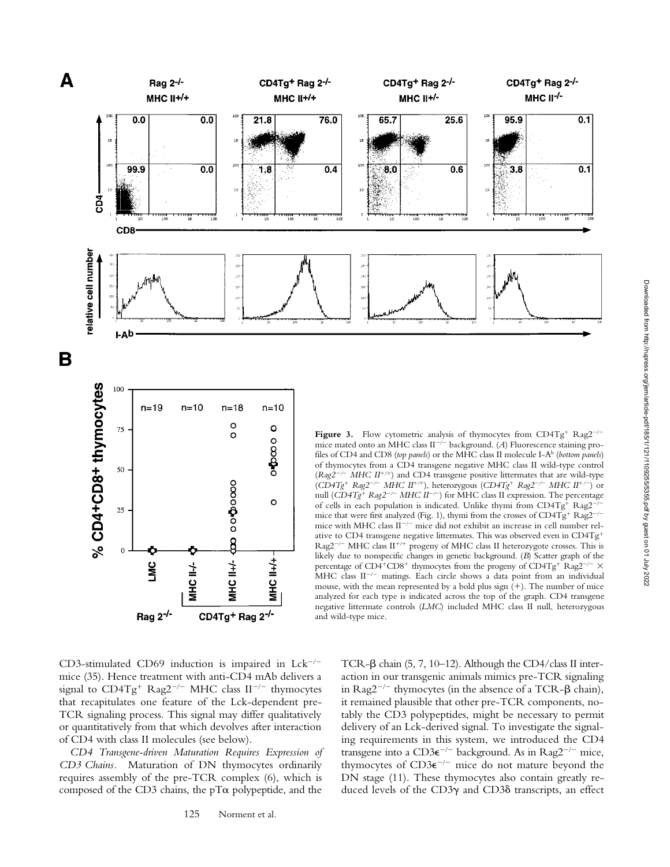

CD3-stimulated CD69 induction is impaired in  $Lck^{-/-}$ mice (35). Hence treatment with anti-CD4 mAb delivers a signal to  $CD4Tg^{+}$  Rag2<sup>-/-</sup> MHC class II<sup>-/-</sup> thymocytes that recapitulates one feature of the Lck-dependent pre-TCR signaling process. This signal may differ qualitatively or quantitatively from that which devolves after interaction of CD4 with class II molecules (see below).

*CD4 Transgene-driven Maturation Requires Expression of CD3 Chains.* Maturation of DN thymocytes ordinarily requires assembly of the pre-TCR complex (6), which is composed of the CD3 chains, the  $pT\alpha$  polypeptide, and the

TCR- $\beta$  chain (5, 7, 10–12). Although the CD4/class II interaction in our transgenic animals mimics pre-TCR signaling in Rag2<sup>-/-</sup> thymocytes (in the absence of a TCR- $\beta$  chain), it remained plausible that other pre-TCR components, notably the CD3 polypeptides, might be necessary to permit delivery of an Lck-derived signal. To investigate the signaling requirements in this system, we introduced the CD4 transgene into a CD3 $e^{-/-}$  background. As in Rag2<sup>-/-</sup> mice, thymocytes of  $CD3\varepsilon^{-/-}$  mice do not mature beyond the DN stage (11). These thymocytes also contain greatly reduced levels of the CD3g and CD3d transcripts, an effect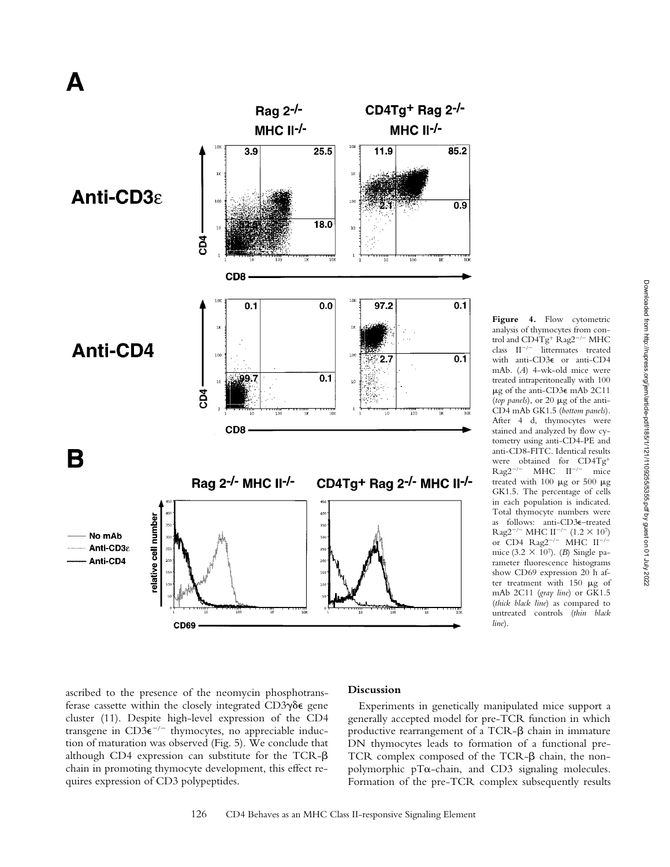

**Figure 4.** Flow cytometric analysis of thymocytes from control and  $CD4Tg^+$  Rag2<sup>-/-</sup> MHC class  $II^{-/-}$  littermates treated with anti-CD3e or anti-CD4 mAb. (*A*) 4-wk-old mice were treated intraperitoneally with 100  $\mu$ g of the anti-CD3 $\epsilon$  mAb 2C11 (*top panels*), or 20 mg of the anti-CD4 mAb GK1.5 (*bottom panels*). After 4 d, thymocytes were stained and analyzed by flow cytometry using anti-CD4-PE and anti-CD8-FITC. Identical results were obtained for  $CD4Tg^{+}$ <br>Rag2<sup>-/-</sup> MHC II<sup>-/-</sup> mice  $MHC$  II<sup>-/-</sup> mice treated with 100  $\mu$ g or 500  $\mu$ g GK1.5. The percentage of cells in each population is indicated. Total thymocyte numbers were as follows: anti-CD3e–treated Rag2<sup>-/-</sup> MHC II<sup>-/-</sup> (1.2  $\times$  10<sup>7</sup>) or CD4  $\text{Rag2}^{-/-}$  MHC II<sup>-/2</sup> mice (3.2  $\times$  10<sup>7</sup>). (*B*) Single parameter fluorescence histograms show CD69 expression 20 h after treatment with  $150 \mu g$  of mAb 2C11 (*gray line*) or GK1.5 (*thick black line*) as compared to untreated controls (*thin black line*).

Downloaded from http://rupress.org/jem/article-pdf/185/1/120255/5555.pdf by guest on 01 July 2022 Downloaded from http://rupress.org/jem/article-pdf/185/1/121/1109255/5355.pdf by guest on 01 July 2022

ascribed to the presence of the neomycin phosphotransferase cassette within the closely integrated  $CD3\gamma\delta\epsilon$  gene cluster (11). Despite high-level expression of the CD4 transgene in  $CD3\varepsilon^{-/-}$  thymocytes, no appreciable induction of maturation was observed (Fig. 5). We conclude that although CD4 expression can substitute for the TCR- $\beta$ chain in promoting thymocyte development, this effect requires expression of CD3 polypeptides.

## **Discussion**

Experiments in genetically manipulated mice support a generally accepted model for pre-TCR function in which productive rearrangement of a TCR- $\beta$  chain in immature DN thymocytes leads to formation of a functional pre-TCR complex composed of the TCR- $\beta$  chain, the nonpolymorphic  $p\alpha$ -chain, and CD3 signaling molecules. Formation of the pre-TCR complex subsequently results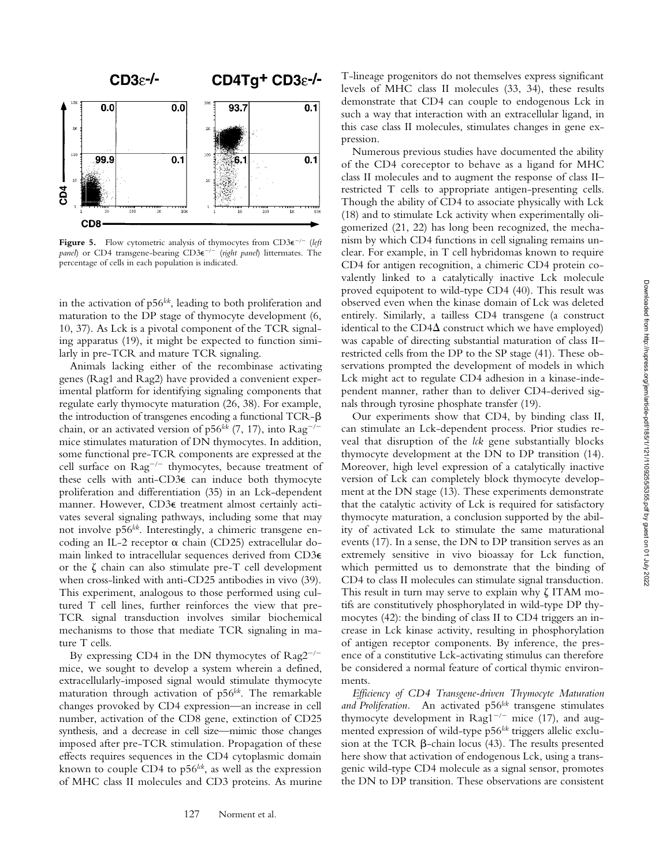

**Figure 5.** Flow cytometric analysis of thymocytes from  $CD3\varepsilon^{-/-}$  (*left panel*) or CD4 transgene-bearing CD3 $e^{-/-}$  (*right panel*) littermates. The percentage of cells in each population is indicated.

in the activation of p56<sup>kk</sup>, leading to both proliferation and maturation to the DP stage of thymocyte development (6, 10, 37). As Lck is a pivotal component of the TCR signaling apparatus (19), it might be expected to function similarly in pre-TCR and mature TCR signaling.

Animals lacking either of the recombinase activating genes (Rag1 and Rag2) have provided a convenient experimental platform for identifying signaling components that regulate early thymocyte maturation (26, 38). For example, the introduction of transgenes encoding a functional TCR- $\beta$ chain, or an activated version of  $p56^{lck}$  (7, 17), into  $\text{Rag}^{-/-}$ mice stimulates maturation of DN thymocytes. In addition, some functional pre-TCR components are expressed at the cell surface on  $\text{Rag}^{-/-}$  thymocytes, because treatment of these cells with anti-CD3e can induce both thymocyte proliferation and differentiation (35) in an Lck-dependent manner. However, CD3e treatment almost certainly activates several signaling pathways, including some that may not involve p56<sup>lck</sup>. Interestingly, a chimeric transgene encoding an IL-2 receptor  $\alpha$  chain (CD25) extracellular domain linked to intracellular sequences derived from CD3e or the  $\zeta$  chain can also stimulate pre-T cell development when cross-linked with anti-CD25 antibodies in vivo (39). This experiment, analogous to those performed using cultured T cell lines, further reinforces the view that pre-TCR signal transduction involves similar biochemical mechanisms to those that mediate TCR signaling in mature T cells.

By expressing CD4 in the DN thymocytes of  $\text{Rag2}^{-/-}$ mice, we sought to develop a system wherein a defined, extracellularly-imposed signal would stimulate thymocyte maturation through activation of p56<sup>lck</sup>. The remarkable changes provoked by CD4 expression—an increase in cell number, activation of the CD8 gene, extinction of CD25 synthesis, and a decrease in cell size—mimic those changes imposed after pre-TCR stimulation. Propagation of these effects requires sequences in the CD4 cytoplasmic domain known to couple CD4 to p56<sup>lck</sup>, as well as the expression of MHC class II molecules and CD3 proteins. As murine

T-lineage progenitors do not themselves express significant levels of MHC class II molecules (33, 34), these results demonstrate that CD4 can couple to endogenous Lck in such a way that interaction with an extracellular ligand, in this case class II molecules, stimulates changes in gene expression.

Numerous previous studies have documented the ability of the CD4 coreceptor to behave as a ligand for MHC class II molecules and to augment the response of class II– restricted T cells to appropriate antigen-presenting cells. Though the ability of CD4 to associate physically with Lck (18) and to stimulate Lck activity when experimentally oligomerized (21, 22) has long been recognized, the mechanism by which CD4 functions in cell signaling remains unclear. For example, in T cell hybridomas known to require CD4 for antigen recognition, a chimeric CD4 protein covalently linked to a catalytically inactive Lck molecule proved equipotent to wild-type CD4 (40). This result was observed even when the kinase domain of Lck was deleted entirely. Similarly, a tailless CD4 transgene (a construct identical to the  $CD4\Delta$  construct which we have employed) was capable of directing substantial maturation of class II– restricted cells from the DP to the SP stage (41). These observations prompted the development of models in which Lck might act to regulate CD4 adhesion in a kinase-independent manner, rather than to deliver CD4-derived signals through tyrosine phosphate transfer (19).

Our experiments show that CD4, by binding class II, can stimulate an Lck-dependent process. Prior studies reveal that disruption of the *lck* gene substantially blocks thymocyte development at the DN to DP transition (14). Moreover, high level expression of a catalytically inactive version of Lck can completely block thymocyte development at the DN stage (13). These experiments demonstrate that the catalytic activity of Lck is required for satisfactory thymocyte maturation, a conclusion supported by the ability of activated Lck to stimulate the same maturational events (17). In a sense, the DN to DP transition serves as an extremely sensitive in vivo bioassay for Lck function, which permitted us to demonstrate that the binding of CD4 to class II molecules can stimulate signal transduction. This result in turn may serve to explain why  $\zeta$  ITAM motifs are constitutively phosphorylated in wild-type DP thymocytes (42): the binding of class II to CD4 triggers an increase in Lck kinase activity, resulting in phosphorylation of antigen receptor components. By inference, the presence of a constitutive Lck-activating stimulus can therefore be considered a normal feature of cortical thymic environments.

*Efficiency of CD4 Transgene-driven Thymocyte Maturation* and Proliferation. An activated p56<sup>lck</sup> transgene stimulates thymocyte development in  $\text{Rag}1^{-/-}$  mice (17), and augmented expression of wild-type p56<sup>kk</sup> triggers allelic exclusion at the TCR  $\beta$ -chain locus (43). The results presented here show that activation of endogenous Lck, using a transgenic wild-type CD4 molecule as a signal sensor, promotes the DN to DP transition. These observations are consistent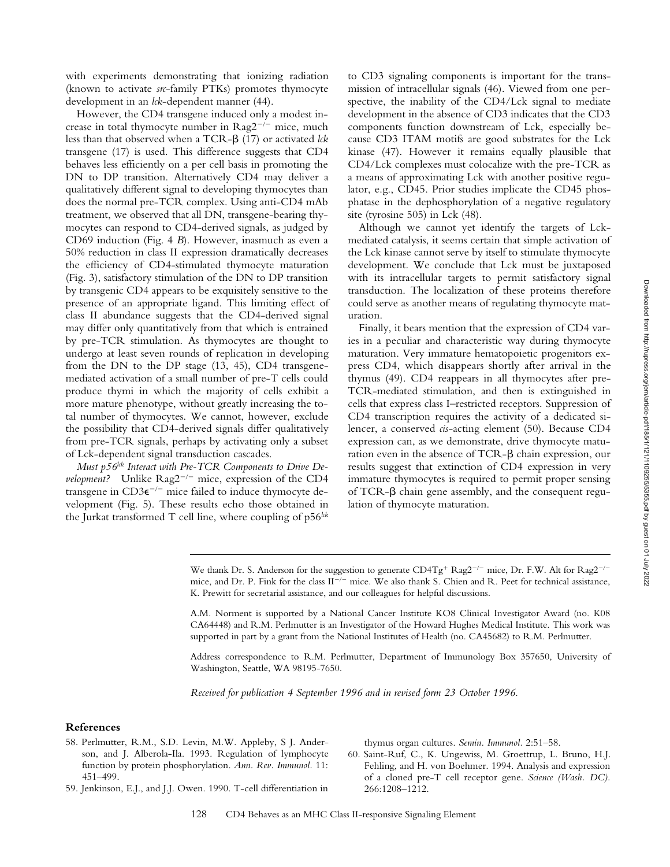with experiments demonstrating that ionizing radiation (known to activate *src*-family PTKs) promotes thymocyte development in an *lck*-dependent manner (44).

However, the CD4 transgene induced only a modest increase in total thymocyte number in  $Rag2^{-/-}$  mice, much less than that observed when a TCR-b (17) or activated *lck* transgene (17) is used. This difference suggests that CD4 behaves less efficiently on a per cell basis in promoting the DN to DP transition. Alternatively CD4 may deliver a qualitatively different signal to developing thymocytes than does the normal pre-TCR complex. Using anti-CD4 mAb treatment, we observed that all DN, transgene-bearing thymocytes can respond to CD4-derived signals, as judged by CD69 induction (Fig. 4 *B*). However, inasmuch as even a 50% reduction in class II expression dramatically decreases the efficiency of CD4-stimulated thymocyte maturation (Fig. 3), satisfactory stimulation of the DN to DP transition by transgenic CD4 appears to be exquisitely sensitive to the presence of an appropriate ligand. This limiting effect of class II abundance suggests that the CD4-derived signal may differ only quantitatively from that which is entrained by pre-TCR stimulation. As thymocytes are thought to undergo at least seven rounds of replication in developing from the DN to the DP stage (13, 45), CD4 transgenemediated activation of a small number of pre-T cells could produce thymi in which the majority of cells exhibit a more mature phenotype, without greatly increasing the total number of thymocytes. We cannot, however, exclude the possibility that CD4-derived signals differ qualitatively from pre-TCR signals, perhaps by activating only a subset of Lck-dependent signal transduction cascades.

*Must p56<sup>lck</sup> Interact with Pre-TCR Components to Drive Development?* Unlike  $\text{Rag2}^{-/-}$  mice, expression of the CD4 transgene in  $CD3\varepsilon^{-/-}$  mice failed to induce thymocyte development (Fig. 5). These results echo those obtained in the Jurkat transformed T cell line, where coupling of p56<sup>*lck*</sup>

to CD3 signaling components is important for the transmission of intracellular signals (46). Viewed from one perspective, the inability of the CD4/Lck signal to mediate development in the absence of CD3 indicates that the CD3 components function downstream of Lck, especially because CD3 ITAM motifs are good substrates for the Lck kinase (47). However it remains equally plausible that CD4/Lck complexes must colocalize with the pre-TCR as a means of approximating Lck with another positive regulator, e.g., CD45. Prior studies implicate the CD45 phosphatase in the dephosphorylation of a negative regulatory site (tyrosine 505) in Lck (48).

Although we cannot yet identify the targets of Lckmediated catalysis, it seems certain that simple activation of the Lck kinase cannot serve by itself to stimulate thymocyte development. We conclude that Lck must be juxtaposed with its intracellular targets to permit satisfactory signal transduction. The localization of these proteins therefore could serve as another means of regulating thymocyte maturation.

Finally, it bears mention that the expression of CD4 varies in a peculiar and characteristic way during thymocyte maturation. Very immature hematopoietic progenitors express CD4, which disappears shortly after arrival in the thymus (49). CD4 reappears in all thymocytes after pre-TCR-mediated stimulation, and then is extinguished in cells that express class I–restricted receptors. Suppression of CD4 transcription requires the activity of a dedicated silencer, a conserved *cis*-acting element (50). Because CD4 expression can, as we demonstrate, drive thymocyte maturation even in the absence of TCR- $\beta$  chain expression, our results suggest that extinction of CD4 expression in very immature thymocytes is required to permit proper sensing of TCR- $\beta$  chain gene assembly, and the consequent regulation of thymocyte maturation.

We thank Dr. S. Anderson for the suggestion to generate  $CD4Tg^+$  Rag2<sup>-/-</sup> mice, Dr. F.W. Alt for Rag2<sup>-/-</sup> mice, and Dr. P. Fink for the class  $II^{-/-}$  mice. We also thank S. Chien and R. Peet for technical assistance, K. Prewitt for secretarial assistance, and our colleagues for helpful discussions.

A.M. Norment is supported by a National Cancer Institute KO8 Clinical Investigator Award (no. K08 CA64448) and R.M. Perlmutter is an Investigator of the Howard Hughes Medical Institute. This work was supported in part by a grant from the National Institutes of Health (no. CA45682) to R.M. Perlmutter.

Address correspondence to R.M. Perlmutter, Department of Immunology Box 357650, University of Washington, Seattle, WA 98195-7650.

*Received for publication 4 September 1996 and in revised form 23 October 1996.*

#### **References**

- 58. Perlmutter, R.M., S.D. Levin, M.W. Appleby, S J. Anderson, and J. Alberola-Ila. 1993. Regulation of lymphocyte function by protein phosphorylation. *Ann. Rev. Immunol.* 11: 451–499.
- 59. Jenkinson, E.J., and J.J. Owen. 1990. T-cell differentiation in

thymus organ cultures. *Semin. Immunol.* 2:51–58.

60. Saint-Ruf, C., K. Ungewiss, M. Groettrup, L. Bruno, H.J. Fehling, and H. von Boehmer. 1994. Analysis and expression of a cloned pre-T cell receptor gene. *Science (Wash. DC).* 266:1208–1212.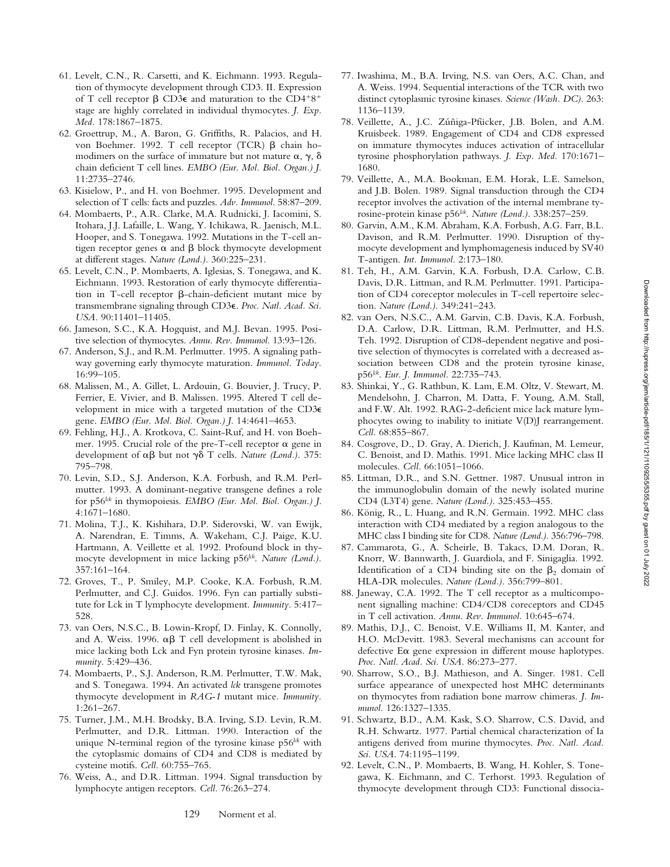Downloaded from http://rupress.org/jem/article-pdf/185/1/121/1109255/5355.pdf by guest on 01 July 2022 Downloaded from http://rupress.org/jem/article-pdf/185/1/121/1109255/5355.pdf by guest on 01 July 2022

- 61. Levelt, C.N., R. Carsetti, and K. Eichmann. 1993. Regulation of thymocyte development through CD3. II. Expression of T cell receptor  $\beta$  CD3 $\epsilon$  and maturation to the CD4<sup>+8+</sup> stage are highly correlated in individual thymocytes. *J. Exp. Med.* 178:1867–1875.
- 62. Groettrup, M., A. Baron, G. Griffiths, R. Palacios, and H. von Boehmer. 1992. T cell receptor (TCR)  $\beta$  chain homodimers on the surface of immature but not mature  $\alpha$ ,  $\gamma$ ,  $\delta$ chain deficient T cell lines. *EMBO (Eur. Mol. Biol. Organ.) J.* 11:2735–2746.
- 63. Kisielow, P., and H. von Boehmer. 1995. Development and selection of T cells: facts and puzzles. *Adv. Immunol.* 58:87–209.
- 64. Mombaerts, P., A.R. Clarke, M.A. Rudnicki, J. Iacomini, S. Itohara, J.J. Lafaille, L. Wang, Y. Ichikawa, R. Jaenisch, M.L. Hooper, and S. Tonegawa. 1992. Mutations in the T-cell antigen receptor genes  $\alpha$  and  $\beta$  block thymocyte development at different stages. *Nature (Lond.).* 360:225–231.
- 65. Levelt, C.N., P. Mombaerts, A. Iglesias, S. Tonegawa, and K. Eichmann. 1993. Restoration of early thymocyte differentiation in T-cell receptor  $\beta$ -chain-deficient mutant mice by transmembrane signaling through CD3e. *Proc. Natl. Acad. Sci. USA.* 90:11401–11405.
- 66. Jameson, S.C., K.A. Hogquist, and M.J. Bevan. 1995. Positive selection of thymocytes. *Annu. Rev. Immunol.* 13:93–126.
- 67. Anderson, S.J., and R.M. Perlmutter. 1995. A signaling pathway governing early thymocyte maturation. *Immunol. Today.* 16:99–105.
- 68. Malissen, M., A. Gillet, L. Ardouin, G. Bouvier, J. Trucy, P. Ferrier, E. Vivier, and B. Malissen. 1995. Altered T cell development in mice with a targeted mutation of the CD3e gene. *EMBO (Eur. Mol. Biol. Organ.) J.* 14:4641–4653.
- 69. Fehling, H.J., A. Krotkova, C. Saint-Ruf, and H. von Boehmer. 1995. Crucial role of the pre-T-cell receptor  $\alpha$  gene in development of αβ but not γδ T cells. *Nature (Lond.)*. 375: 795–798.
- 70. Levin, S.D., S.J. Anderson, K.A. Forbush, and R.M. Perlmutter. 1993. A dominant-negative transgene defines a role for p56*lck* in thymopoiesis. *EMBO (Eur. Mol. Biol. Organ.) J.* 4:1671–1680.
- 71. Molina, T.J., K. Kishihara, D.P. Siderovski, W. van Ewijk, A. Narendran, E. Timms, A. Wakeham, C.J. Paige, K.U. Hartmann, A. Veillette et al. 1992. Profound block in thymocyte development in mice lacking p56*lck*. *Nature (Lond.).* 357:161–164.
- 72. Groves, T., P. Smiley, M.P. Cooke, K.A. Forbush, R.M. Perlmutter, and C.J. Guidos. 1996. Fyn can partially substitute for Lck in T lymphocyte development. *Immunity.* 5:417– 528.
- 73. van Oers, N.S.C., B. Lowin-Kropf, D. Finlay, K. Connolly, and A. Weiss. 1996.  $\alpha\beta$  T cell development is abolished in mice lacking both Lck and Fyn protein tyrosine kinases. *Immunity.* 5:429–436.
- 74. Mombaerts, P., S.J. Anderson, R.M. Perlmutter, T.W. Mak, and S. Tonegawa. 1994. An activated *lck* transgene promotes thymocyte development in *RAG-1* mutant mice. *Immunity.* 1:261–267.
- 75. Turner, J.M., M.H. Brodsky, B.A. Irving, S.D. Levin, R.M. Perlmutter, and D.R. Littman. 1990. Interaction of the unique N-terminal region of the tyrosine kinase p56*lck* with the cytoplasmic domains of CD4 and CD8 is mediated by cysteine motifs. *Cell.* 60:755–765.
- 76. Weiss, A., and D.R. Littman. 1994. Signal transduction by lymphocyte antigen receptors. *Cell.* 76:263–274.
- 77. Iwashima, M., B.A. Irving, N.S. van Oers, A.C. Chan, and A. Weiss. 1994. Sequential interactions of the TCR with two distinct cytoplasmic tyrosine kinases. *Science (Wash. DC).* 263: 1136–1139.
- 78. Veillette, A., J.C. Zúñiga-Pfücker, J.B. Bolen, and A.M. Kruisbeek. 1989. Engagement of CD4 and CD8 expressed on immature thymocytes induces activation of intracellular tyrosine phosphorylation pathways. *J. Exp. Med.* 170:1671– 1680.
- 79. Veillette, A., M.A. Bookman, E.M. Horak, L.E. Samelson, and J.B. Bolen. 1989. Signal transduction through the CD4 receptor involves the activation of the internal membrane tyrosine-protein kinase p56*lck*. *Nature (Lond.).* 338:257–259.
- 80. Garvin, A.M., K.M. Abraham, K.A. Forbush, A.G. Farr, B.L. Davison, and R.M. Perlmutter. 1990. Disruption of thymocyte development and lymphomagenesis induced by SV40 T-antigen. *Int. Immunol.* 2:173–180.
- 81. Teh, H., A.M. Garvin, K.A. Forbush, D.A. Carlow, C.B. Davis, D.R. Littman, and R.M. Perlmutter. 1991. Participation of CD4 coreceptor molecules in T-cell repertoire selection. *Nature (Lond.).* 349:241–243.
- 82. van Oers, N.S.C., A.M. Garvin, C.B. Davis, K.A. Forbush, D.A. Carlow, D.R. Littman, R.M. Perlmutter, and H.S. Teh. 1992. Disruption of CD8-dependent negative and positive selection of thymocytes is correlated with a decreased association between CD8 and the protein tyrosine kinase, p56*lck*. *Eur. J. Immunol.* 22:735–743.
- 83. Shinkai, Y., G. Rathbun, K. Lam, E.M. Oltz, V. Stewart, M. Mendelsohn, J. Charron, M. Datta, F. Young, A.M. Stall, and F.W. Alt. 1992. RAG-2-deficient mice lack mature lymphocytes owing to inability to initiate V(D)J rearrangement. *Cell.* 68:855–867.
- 84. Cosgrove, D., D. Gray, A. Dierich, J. Kaufman, M. Lemeur, C. Benoist, and D. Mathis. 1991. Mice lacking MHC class II molecules. *Cell.* 66:1051–1066.
- 85. Littman, D.R., and S.N. Gettner. 1987. Unusual intron in the immunoglobulin domain of the newly isolated murine CD4 (L3T4) gene. *Nature (Lond.).* 325:453–455.
- 86. König, R., L. Huang, and R.N. Germain. 1992. MHC class interaction with CD4 mediated by a region analogous to the MHC class I binding site for CD8. *Nature (Lond.).* 356:796–798.
- 87. Cammarota, G., A. Scheirle, B. Takacs, D.M. Doran, R. Knorr, W. Bannwarth, J. Guardiola, and F. Sinigaglia. 1992. Identification of a CD4 binding site on the  $\beta_2$  domain of HLA-DR molecules. *Nature (Lond.).* 356:799–801.
- 88. Janeway, C.A. 1992. The T cell receptor as a multicomponent signalling machine: CD4/CD8 coreceptors and CD45 in T cell activation. *Annu. Rev. Immunol.* 10:645–674.
- 89. Mathis, D.J., C. Benoist, V.E. Williams II, M. Kanter, and H.O. McDevitt. 1983. Several mechanisms can account for defective  $E\alpha$  gene expression in different mouse haplotypes. *Proc. Natl. Acad. Sci. USA.* 86:273–277.
- 90. Sharrow, S.O., B.J. Mathieson, and A. Singer. 1981. Cell surface appearance of unexpected host MHC determinants on thymocytes from radiation bone marrow chimeras. *J. Immunol.* 126:1327–1335.
- 91. Schwartz, B.D., A.M. Kask, S.O. Sharrow, C.S. David, and R.H. Schwartz. 1977. Partial chemical characterization of Ia antigens derived from murine thymocytes. *Proc. Natl. Acad. Sci. USA.* 74:1195–1199.
- 92. Levelt, C.N., P. Mombaerts, B. Wang, H. Kohler, S. Tonegawa, K. Eichmann, and C. Terhorst. 1993. Regulation of thymocyte development through CD3: Functional dissocia-